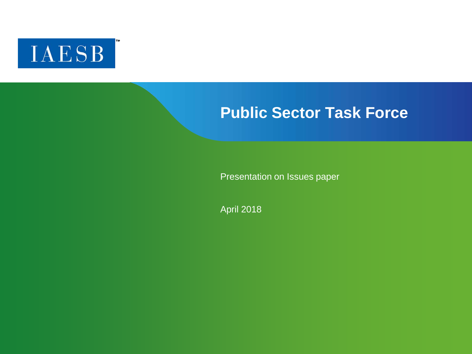

## **Public Sector Task Force**

Presentation on Issues paper

April 2018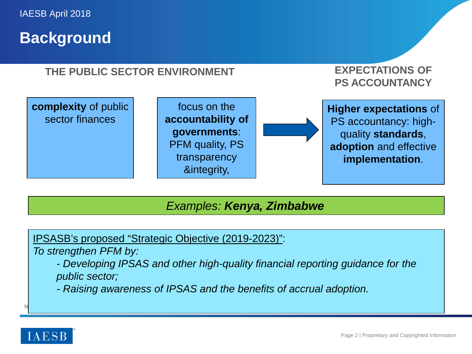## **Background**

### **THE PUBLIC SECTOR ENVIRONMENT**

### **EXPECTATIONS OF PS ACCOUNTANCY**



### *Examples: Kenya, Zimbabwe*

IPSASB's proposed "Strategic Objective (2019-2023)":

*To strengthen PFM by:*

 $N$  and  $N$  appear on  $C$  appear on  $C$  appear on  $C$  appear on  $C$ 

*- Developing IPSAS and other high-quality financial reporting guidance for the public sector;*

*- Raising awareness of IPSAS and the benefits of accrual adoption.*

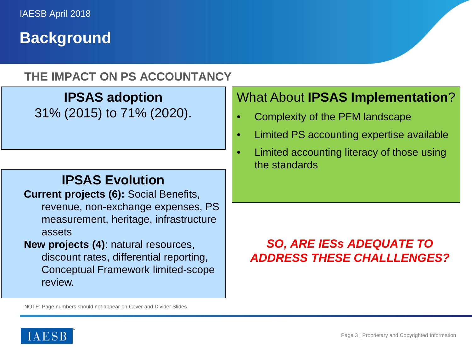## **Background**

### **THE IMPACT ON PS ACCOUNTANCY**

**IPSAS adoption**  31% (2015) to 71% (2020).

### **IPSAS Evolution**

**Current projects (6):** Social Benefits, revenue, non-exchange expenses, PS measurement, heritage, infrastructure assets

**New projects (4)**: natural resources, discount rates, differential reporting, Conceptual Framework limited-scope review.

## What About **IPSAS Implementation**?

- Complexity of the PFM landscape
- Limited PS accounting expertise available
- Limited accounting literacy of those using the standards

## *SO, ARE IESs ADEQUATE TO ADDRESS THESE CHALLLENGES?*

NOTE: Page numbers should not appear on Cover and Divider Slides

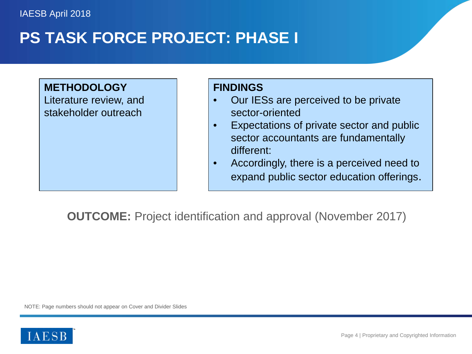# **PS TASK FORCE PROJECT: PHASE I**

#### **METHODOLOGY**

Literature review, and stakeholder outreach

#### **FINDINGS**

- Our IESs are perceived to be private sector-oriented
- Expectations of private sector and public sector accountants are fundamentally different:
- Accordingly, there is a perceived need to expand public sector education offerings.

**OUTCOME:** Project identification and approval (November 2017)

NOTE: Page numbers should not appear on Cover and Divider Slides

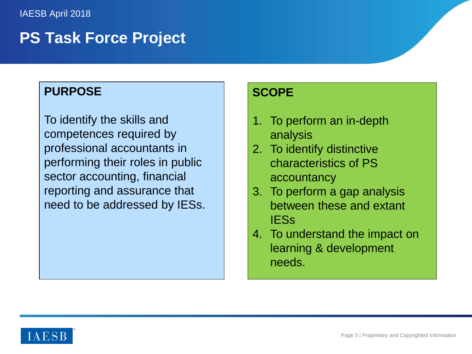## **PS Task Force Project**

### **PURPOSE**

To identify the skills and competences required by professional accountants in performing their roles in public sector accounting, financial reporting and assurance that need to be addressed by IESs.

#### **SCOPE**

- 1. To perform an in-depth analysis
- 2. To identify distinctive characteristics of PS accountancy
- 3. To perform a gap analysis between these and extant IESs
- 4. To understand the impact on learning & development needs.

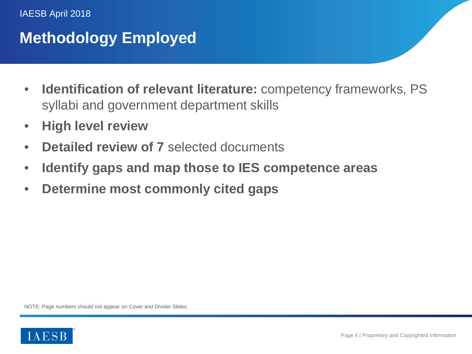#### IAESB April 2018

# **Methodology Employed**

- **Identification of relevant literature:** competency frameworks, PS syllabi and government department skills
- **High level review**
- **Detailed review of 7** selected documents
- **Identify gaps and map those to IES competence areas**
- **Determine most commonly cited gaps**

NOTE: Page numbers should not appear on Cover and Divider Slides

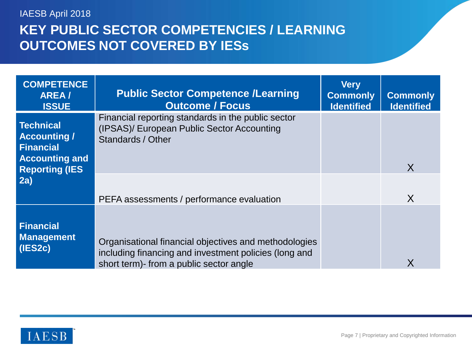## **KEY PUBLIC SECTOR COMPETENCIES / LEARNING OUTCOMES NOT COVERED BY IESs** IAESB April 2018

| <b>COMPETENCE</b><br><b>AREA/</b><br><b>ISSUE</b>                                               | <b>Public Sector Competence /Learning</b><br><b>Outcome / Focus</b>                                                                                       | <b>Very</b><br><b>Commonly</b><br><b>Identified</b> | <b>Commonly</b><br><b>Identified</b> |
|-------------------------------------------------------------------------------------------------|-----------------------------------------------------------------------------------------------------------------------------------------------------------|-----------------------------------------------------|--------------------------------------|
| Technical<br><b>Accounting /</b><br>Financial<br><b>Accounting and</b><br><b>Reporting (IES</b> | Financial reporting standards in the public sector<br>(IPSAS)/ European Public Sector Accounting<br>Standards / Other                                     |                                                     | X                                    |
| 2a)                                                                                             | PEFA assessments / performance evaluation                                                                                                                 |                                                     | X                                    |
| <b>Financial</b><br><b>Management</b><br>(IES2c)                                                | Organisational financial objectives and methodologies<br>including financing and investment policies (long and<br>short term)- from a public sector angle |                                                     | X                                    |

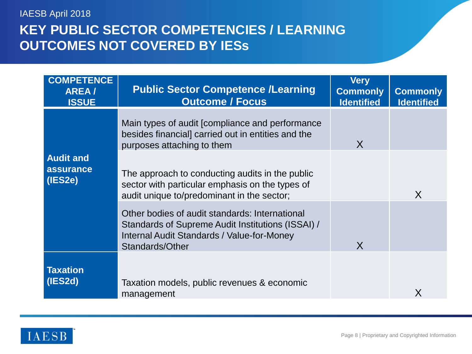## **KEY PUBLIC SECTOR COMPETENCIES / LEARNING OUTCOMES NOT COVERED BY IESs** IAESB April 2018

| <b>COMPETENCE</b><br>AREA/<br><b>ISSUE</b> | <b>Public Sector Competence /Learning</b><br><b>Outcome / Focus</b>                                                                                                  | <b>Very</b><br><b>Commonly</b><br><b>Identified</b> | <b>Commonly</b><br><b>Identified</b> |
|--------------------------------------------|----------------------------------------------------------------------------------------------------------------------------------------------------------------------|-----------------------------------------------------|--------------------------------------|
|                                            | Main types of audit [compliance and performance<br>besides financial] carried out in entities and the<br>purposes attaching to them                                  | X                                                   |                                      |
| <b>Audit and</b><br>assurance<br>(IES2e)   | The approach to conducting audits in the public<br>sector with particular emphasis on the types of<br>audit unique to/predominant in the sector;                     |                                                     | X                                    |
|                                            | Other bodies of audit standards: International<br>Standards of Supreme Audit Institutions (ISSAI) /<br>Internal Audit Standards / Value-for-Money<br>Standards/Other | X                                                   |                                      |
| <b>Taxation</b><br>(IES2d)                 | Taxation models, public revenues & economic<br>management                                                                                                            |                                                     | X                                    |

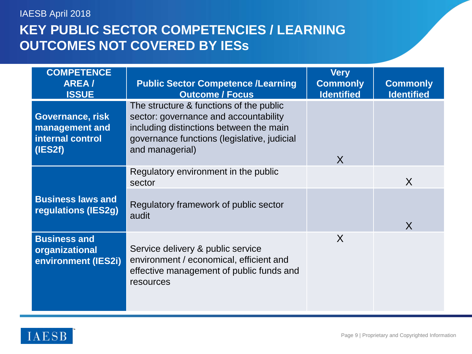## **KEY PUBLIC SECTOR COMPETENCIES / LEARNING OUTCOMES NOT COVERED BY IESs** IAESB April 2018

| <b>COMPETENCE</b><br><b>AREA/</b><br><b>ISSUE</b>                 | <b>Public Sector Competence /Learning</b><br><b>Outcome / Focus</b>                                                                                                                           | <b>Very</b><br><b>Commonly</b><br><b>Identified</b> | <b>Commonly</b><br><b>Identified</b> |
|-------------------------------------------------------------------|-----------------------------------------------------------------------------------------------------------------------------------------------------------------------------------------------|-----------------------------------------------------|--------------------------------------|
| Governance, risk<br>management and<br>internal control<br>(IES2f) | The structure & functions of the public<br>sector: governance and accountability<br>including distinctions between the main<br>governance functions (legislative, judicial<br>and managerial) | X                                                   |                                      |
|                                                                   | Regulatory environment in the public<br>sector                                                                                                                                                |                                                     | X                                    |
| <b>Business laws and</b><br>regulations (IES2g)                   | Regulatory framework of public sector<br>audit                                                                                                                                                |                                                     | X                                    |
| <b>Business and</b><br>organizational<br>environment (IES2i)      | Service delivery & public service<br>environment / economical, efficient and<br>effective management of public funds and<br>resources                                                         | X                                                   |                                      |

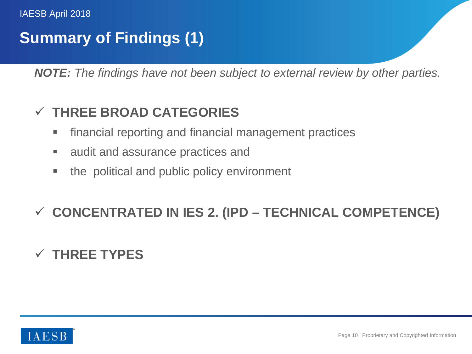# **Summary of Findings (1)**

*NOTE: The findings have not been subject to external review by other parties.*

## **THREE BROAD CATEGORIES**

- financial reporting and financial management practices
- **Example 2** audit and assurance practices and
- the political and public policy environment

## **CONCENTRATED IN IES 2. (IPD – TECHNICAL COMPETENCE)**

## **THREE TYPES**

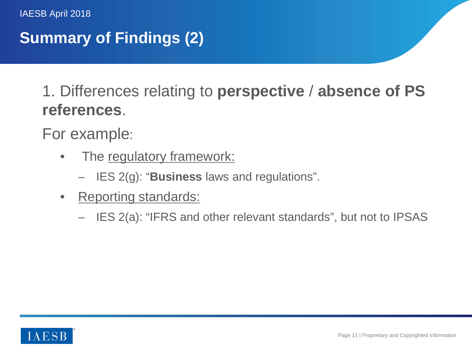# **Summary of Findings (2)**

1. Differences relating to **perspective** / **absence of PS references**.

For example:

- The regulatory framework:
	- IES 2(g): "**Business** laws and regulations".
- Reporting standards:
	- IES 2(a): "IFRS and other relevant standards", but not to IPSAS

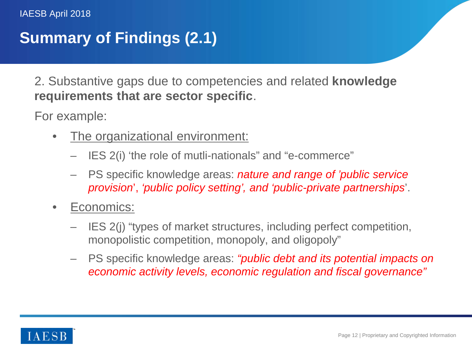# **Summary of Findings (2.1)**

2. Substantive gaps due to competencies and related **knowledge requirements that are sector specific**.

For example:

- The organizational environment:
	- IES 2(i) 'the role of mutli-nationals" and "e-commerce"
	- PS specific knowledge areas: *nature and range of 'public service provision*', *'public policy setting', and 'public-private partnerships*'.
- Economics:
	- IES 2(j) "types of market structures, including perfect competition, monopolistic competition, monopoly, and oligopoly"
	- PS specific knowledge areas: *"public debt and its potential impacts on economic activity levels, economic regulation and fiscal governance"*

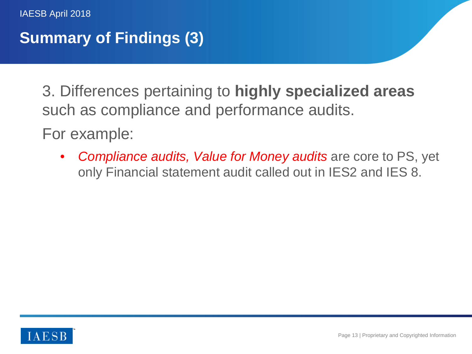# **Summary of Findings (3)**

3. Differences pertaining to **highly specialized areas**  such as compliance and performance audits.

For example:

• *Compliance audits, Value for Money audits* are core to PS, yet only Financial statement audit called out in IES2 and IES 8.

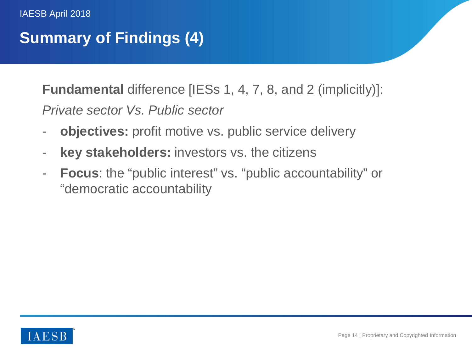# **Summary of Findings (4)**

**Fundamental** difference [IESs 1, 4, 7, 8, and 2 (implicitly)]: *Private sector Vs. Public sector*

- **objectives:** profit motive vs. public service delivery
- **key stakeholders:** investors vs. the citizens
- **Focus**: the "public interest" vs. "public accountability" or "democratic accountability

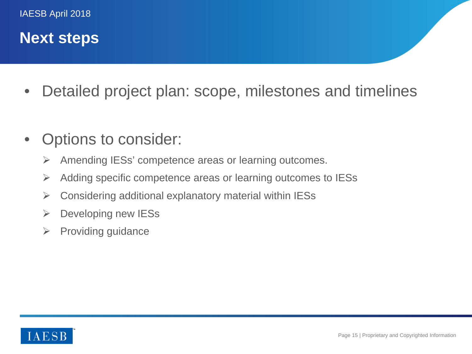## **Next steps**

- Detailed project plan: scope, milestones and timelines
- Options to consider:
	- $\triangleright$  Amending IESs' competence areas or learning outcomes.
	- $\triangleright$  Adding specific competence areas or learning outcomes to IESs
	- $\triangleright$  Considering additional explanatory material within IESs
	- $\triangleright$  Developing new IESs
	- $\triangleright$  Providing guidance